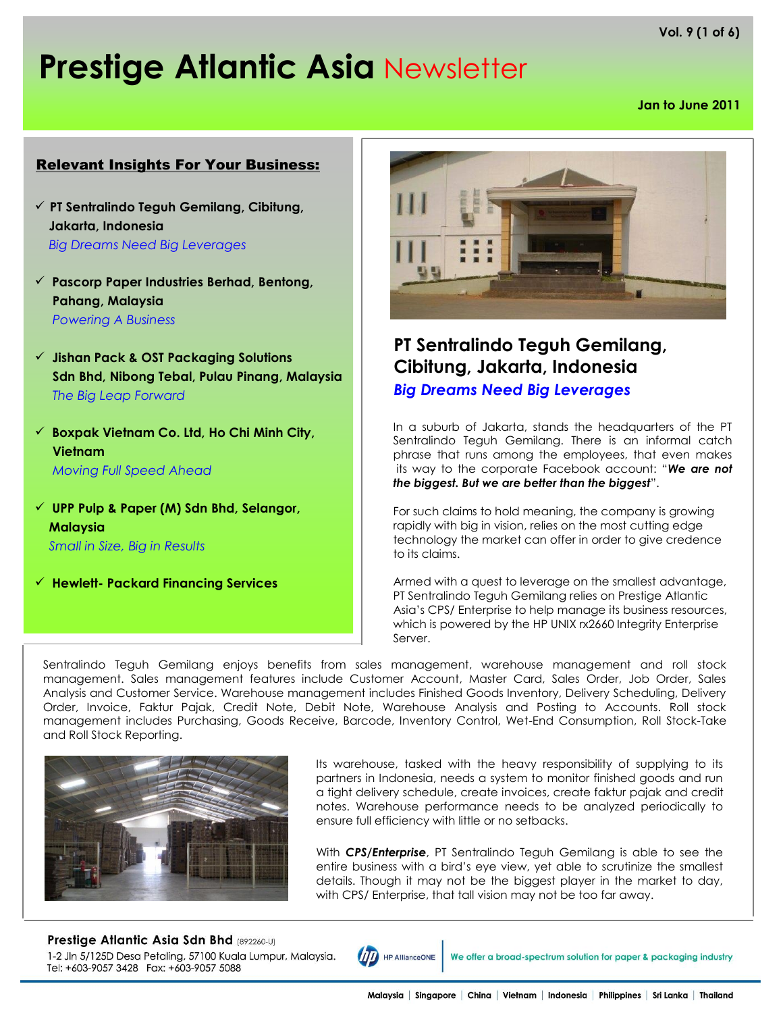**Vol. 9 (1 of 6)**

# **Prestige Atlantic Asia** Newsletter

**Jan to June 2011**

#### Relevant Insights For Your Business:

- **PT Sentralindo Teguh Gemilang, Cibitung, Jakarta, Indonesia** *Big Dreams Need Big Leverages*
- **Pascorp Paper Industries Berhad, Bentong, Pahang, Malaysia** *Powering A Business*
- **Jishan Pack & OST Packaging Solutions Sdn Bhd, Nibong Tebal, Pulau Pinang, Malaysia** *The Big Leap Forward*
- **Boxpak Vietnam Co. Ltd, Ho Chi Minh City, Vietnam** *Moving Full Speed Ahead*
- **UPP Pulp & Paper (M) Sdn Bhd, Selangor, Malaysia** *Small in Size, Big in Results*
- **Hewlett- Packard Financing Services**



# **PT Sentralindo Teguh Gemilang, Cibitung, Jakarta, Indonesia** *Big Dreams Need Big Leverages*

In a suburb of Jakarta, stands the headquarters of the PT Sentralindo Teguh Gemilang. There is an informal catch phrase that runs among the employees, that even makes its way to the corporate Facebook account: "*We are not the biggest. But we are better than the biggest*".

For such claims to hold meaning, the company is growing rapidly with big in vision, relies on the most cutting edge technology the market can offer in order to give credence to its claims.

Armed with a quest to leverage on the smallest advantage, PT Sentralindo Teguh Gemilang relies on Prestige Atlantic Asia's CPS/ Enterprise to help manage its business resources, which is powered by the HP UNIX rx2660 Integrity Enterprise Server.

Sentralindo Teguh Gemilang enjoys benefits from sales management, warehouse management and roll stock management. Sales management features include Customer Account, Master Card, Sales Order, Job Order, Sales Analysis and Customer Service. Warehouse management includes Finished Goods Inventory, Delivery Scheduling, Delivery Order, Invoice, Faktur Pajak, Credit Note, Debit Note, Warehouse Analysis and Posting to Accounts. Roll stock management includes Purchasing, Goods Receive, Barcode, Inventory Control, Wet-End Consumption, Roll Stock-Take and Roll Stock Reporting.



Its warehouse, tasked with the heavy responsibility of supplying to its partners in Indonesia, needs a system to monitor finished goods and run a tight delivery schedule, create invoices, create faktur pajak and credit notes. Warehouse performance needs to be analyzed periodically to ensure full efficiency with little or no setbacks.

With *CPS/Enterprise*, PT Sentralindo Teguh Gemilang is able to see the entire business with a bird's eye view, yet able to scrutinize the smallest details. Though it may not be the biggest player in the market to day, with CPS/ Enterprise, that tall vision may not be too far away.

Prestige Atlantic Asia Sdn Bhd (892260-U) 1-2 Jln 5/125D Desa Petaling, 57100 Kuala Lumpur, Malaysia. Tel: +603-9057 3428 Fax: +603-9057 5088



We offer a broad-spectrum solution for paper & packaging industry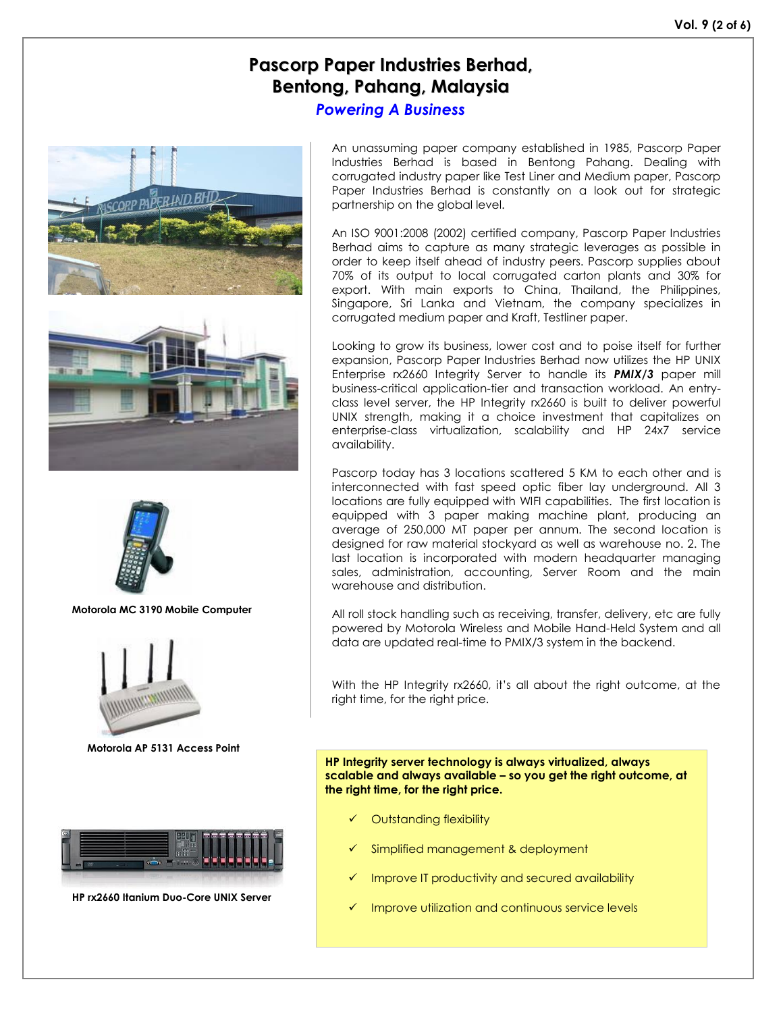# **Pascorp Paper Industries Berhad, Bentong, Pahang, Malaysia**

*Powering A Business*







**Motorola MC 3190 Mobile Computer**



**Motorola AP 5131 Access Point**



**HP rx2660 Itanium Duo-Core UNIX Server** 

An unassuming paper company established in 1985, Pascorp Paper Industries Berhad is based in Bentong Pahang. Dealing with corrugated industry paper like Test Liner and Medium paper, Pascorp Paper Industries Berhad is constantly on a look out for strategic partnership on the global level.

An ISO 9001:2008 (2002) certified company, Pascorp Paper Industries Berhad aims to capture as many strategic leverages as possible in order to keep itself ahead of industry peers. Pascorp supplies about 70% of its output to local corrugated carton plants and 30% for export. With main exports to China, Thailand, the Philippines, Singapore, Sri Lanka and Vietnam, the company specializes in corrugated medium paper and Kraft, Testliner paper.

Looking to grow its business, lower cost and to poise itself for further expansion, Pascorp Paper Industries Berhad now utilizes the HP UNIX Enterprise rx2660 Integrity Server to handle its *PMIX/3* paper mill business-critical application-tier and transaction workload. An entryclass level server, the HP Integrity rx2660 is built to deliver powerful UNIX strength, making it a choice investment that capitalizes on enterprise-class virtualization, scalability and HP 24x7 service availability.

Pascorp today has 3 locations scattered 5 KM to each other and is interconnected with fast speed optic fiber lay underground. All 3 locations are fully equipped with WIFI capabilities. The first location is equipped with 3 paper making machine plant, producing an average of 250,000 MT paper per annum. The second location is designed for raw material stockyard as well as warehouse no. 2. The last location is incorporated with modern headquarter managing sales, administration, accounting, Server Room and the main warehouse and distribution.

All roll stock handling such as receiving, transfer, delivery, etc are fully powered by Motorola Wireless and Mobile Hand-Held System and all data are updated real-time to PMIX/3 system in the backend.

With the HP Integrity rx2660, it's all about the right outcome, at the right time, for the right price.

**HP Integrity server technology is always virtualized, always scalable and always available – so you get the right outcome, at the right time, for the right price.**

- Outstanding flexibility
- Simplified management & deployment
- Improve IT productivity and secured availability
- Improve utilization and continuous service levels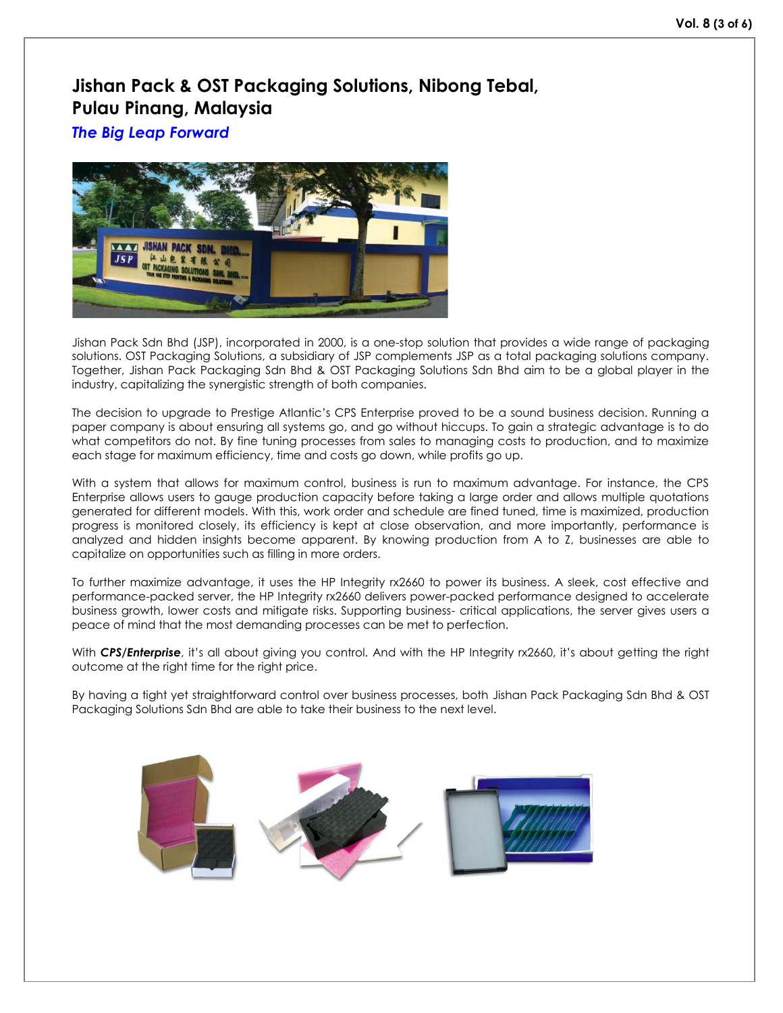## **Jishan Pack & OST Packaging Solutions, Nibong Tebal, Pulau Pinang, Malaysia**

*The Big Leap Forward*



Jishan Pack Sdn Bhd (JSP), incorporated in 2000, is a one-stop solution that provides a wide range of packaging solutions. OST Packaging Solutions, a subsidiary of JSP complements JSP as a total packaging solutions company. Together, Jishan Pack Packaging Sdn Bhd & OST Packaging Solutions Sdn Bhd aim to be a global player in the industry, capitalizing the synergistic strength of both companies.

The decision to upgrade to Prestige Atlantic's CPS Enterprise proved to be a sound business decision. Running a paper company is about ensuring all systems go, and go without hiccups. To gain a strategic advantage is to do what competitors do not. By fine tuning processes from sales to managing costs to production, and to maximize each stage for maximum efficiency, time and costs go down, while profits go up.

With a system that allows for maximum control, business is run to maximum advantage. For instance, the CPS Enterprise allows users to gauge production capacity before taking a large order and allows multiple quotations generated for different models. With this, work order and schedule are fined tuned, time is maximized, production progress is monitored closely, its efficiency is kept at close observation, and more importantly, performance is analyzed and hidden insights become apparent. By knowing production from A to Z, businesses are able to capitalize on opportunities such as filling in more orders.

To further maximize advantage, it uses the HP Integrity rx2660 to power its business. A sleek, cost effective and performance-packed server, the HP Integrity rx2660 delivers power-packed performance designed to accelerate business growth, lower costs and mitigate risks. Supporting business- critical applications, the server gives users a peace of mind that the most demanding processes can be met to perfection.

With *CPS/Enterprise*, it's all about giving you control. And with the HP Integrity rx2660, it's about getting the right outcome at the right time for the right price.

By having a tight yet straightforward control over business processes, both Jishan Pack Packaging Sdn Bhd & OST Packaging Solutions Sdn Bhd are able to take their business to the next level.

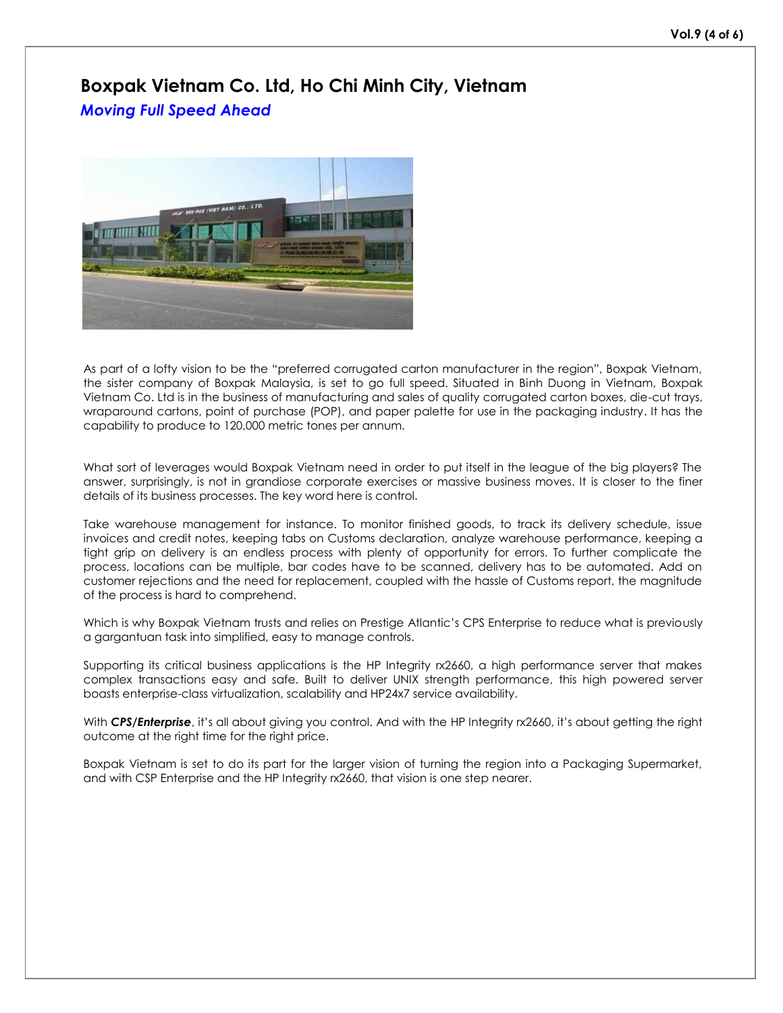## **Boxpak Vietnam Co. Ltd, Ho Chi Minh City, Vietnam** *Moving Full Speed Ahead*



As part of a lofty vision to be the "preferred corrugated carton manufacturer in the region", Boxpak Vietnam, the sister company of Boxpak Malaysia, is set to go full speed. Situated in Binh Duong in Vietnam, Boxpak Vietnam Co. Ltd is in the business of manufacturing and sales of quality corrugated carton boxes, die-cut trays, wraparound cartons, point of purchase (POP), and paper palette for use in the packaging industry. It has the capability to produce to 120,000 metric tones per annum.

What sort of leverages would Boxpak Vietnam need in order to put itself in the league of the big players? The answer, surprisingly, is not in grandiose corporate exercises or massive business moves. It is closer to the finer details of its business processes. The key word here is control.

Take warehouse management for instance. To monitor finished goods, to track its delivery schedule, issue invoices and credit notes, keeping tabs on Customs declaration, analyze warehouse performance, keeping a tight grip on delivery is an endless process with plenty of opportunity for errors. To further complicate the process, locations can be multiple, bar codes have to be scanned, delivery has to be automated. Add on customer rejections and the need for replacement, coupled with the hassle of Customs report, the magnitude of the process is hard to comprehend.

Which is why Boxpak Vietnam trusts and relies on Prestige Atlantic's CPS Enterprise to reduce what is previously a gargantuan task into simplified, easy to manage controls.

Supporting its critical business applications is the HP Integrity rx2660, a high performance server that makes complex transactions easy and safe. Built to deliver UNIX strength performance, this high powered server boasts enterprise-class virtualization, scalability and HP24x7 service availability.

With **CPS/Enterprise**, it's all about giving you control. And with the HP Integrity rx2660, it's about getting the right outcome at the right time for the right price.

Boxpak Vietnam is set to do its part for the larger vision of turning the region into a Packaging Supermarket, and with CSP Enterprise and the HP Integrity rx2660, that vision is one step nearer.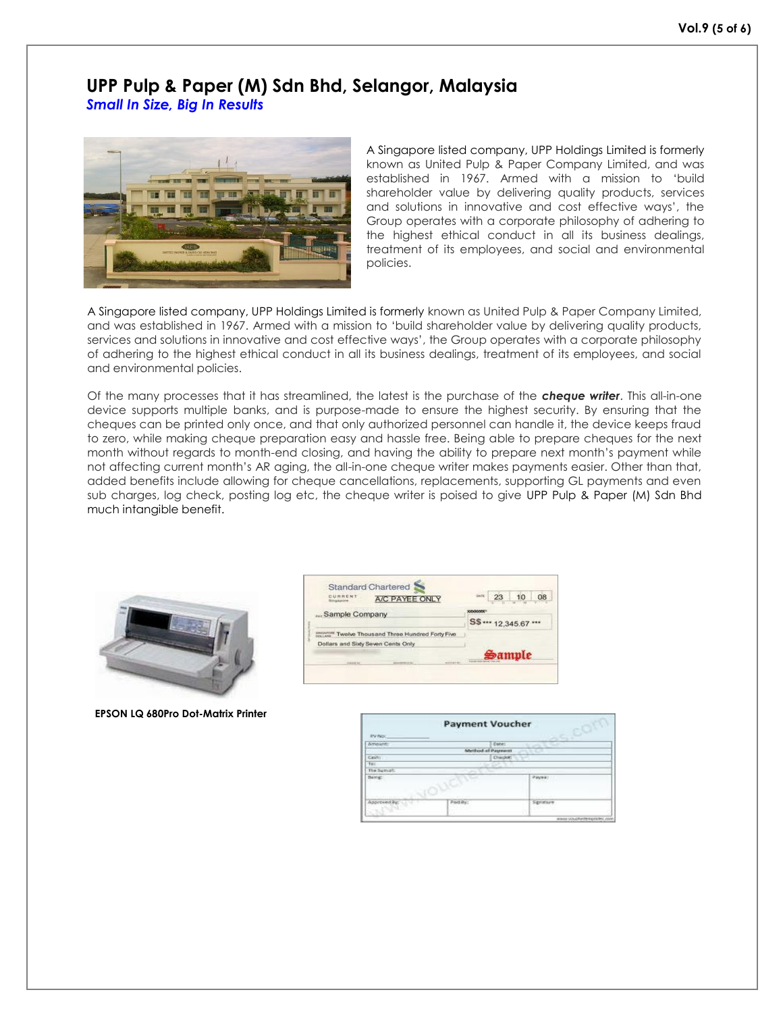#### **UPP Pulp & Paper (M) Sdn Bhd, Selangor, Malaysia** *Small In Size, Big In Results*



A Singapore listed company, UPP Holdings Limited is formerly known as United Pulp & Paper Company Limited, and was established in 1967. Armed with a mission to 'build shareholder value by delivering quality products, services and solutions in innovative and cost effective ways', the Group operates with a corporate philosophy of adhering to the highest ethical conduct in all its business dealings, treatment of its employees, and social and environmental policies.

A Singapore listed company, UPP Holdings Limited is formerly known as United Pulp & Paper Company Limited, and was established in 1967. Armed with a mission to 'build shareholder value by delivering quality products, services and solutions in innovative and cost effective ways', the Group operates with a corporate philosophy of adhering to the highest ethical conduct in all its business dealings, treatment of its employees, and social and environmental policies.

Of the many processes that it has streamlined, the latest is the purchase of the *cheque writer*. This all-in-one device supports multiple banks, and is purpose-made to ensure the highest security. By ensuring that the cheques can be printed only once, and that only authorized personnel can handle it, the device keeps fraud to zero, while making cheque preparation easy and hassle free. Being able to prepare cheques for the next month without regards to month-end closing, and having the ability to prepare next month's payment while not affecting current month's AR aging, the all-in-one cheque writer makes payments easier. Other than that, added benefits include allowing for cheque cancellations, replacements, supporting GL payments and even sub charges, log check, posting log etc, the cheque writer is poised to give UPP Pulp & Paper (M) Sdn Bhd much intangible benefit.



**EPSON LQ 680Pro Dot-Matrix Printer**

| <b>CURRENT.</b><br>A/C PAYEE ONLY<br>Singspone    | sion                                           | 23                    | 10 | 08 |  |
|---------------------------------------------------|------------------------------------------------|-----------------------|----|----|--|
| Sample Company                                    |                                                |                       |    |    |  |
|                                                   |                                                | S\$ *** 12.345.67 *** |    |    |  |
| DISCOVER Twelve Thousand Three Hundred Forty Five |                                                |                       |    |    |  |
| Dollars and Sixty Seven Cents Only                |                                                |                       |    |    |  |
|                                                   | Sample<br><b>Instructs below subject (Text</b> |                       |    |    |  |

| <b>Payment Voucher</b>                           |                  |                   |              |                              |  |  |
|--------------------------------------------------|------------------|-------------------|--------------|------------------------------|--|--|
| <b>IPV No:</b>                                   |                  |                   |              |                              |  |  |
| <b>Amount</b> :                                  |                  | Cone:             |              |                              |  |  |
|                                                  |                  | Method of Pasmeon |              |                              |  |  |
| Cash:                                            | <b>Chardelin</b> |                   |              |                              |  |  |
| Tet:                                             |                  |                   |              |                              |  |  |
| The Summit                                       |                  |                   |              |                              |  |  |
| <b>Being:</b>                                    |                  |                   | Payes:<br>-- |                              |  |  |
| <b>CARL PROTECTIVE</b><br>portional list.<br>-59 | <b>Justin</b> :  |                   | Signonum     |                              |  |  |
|                                                  | . .              |                   |              | wasse couplesterous tes cont |  |  |